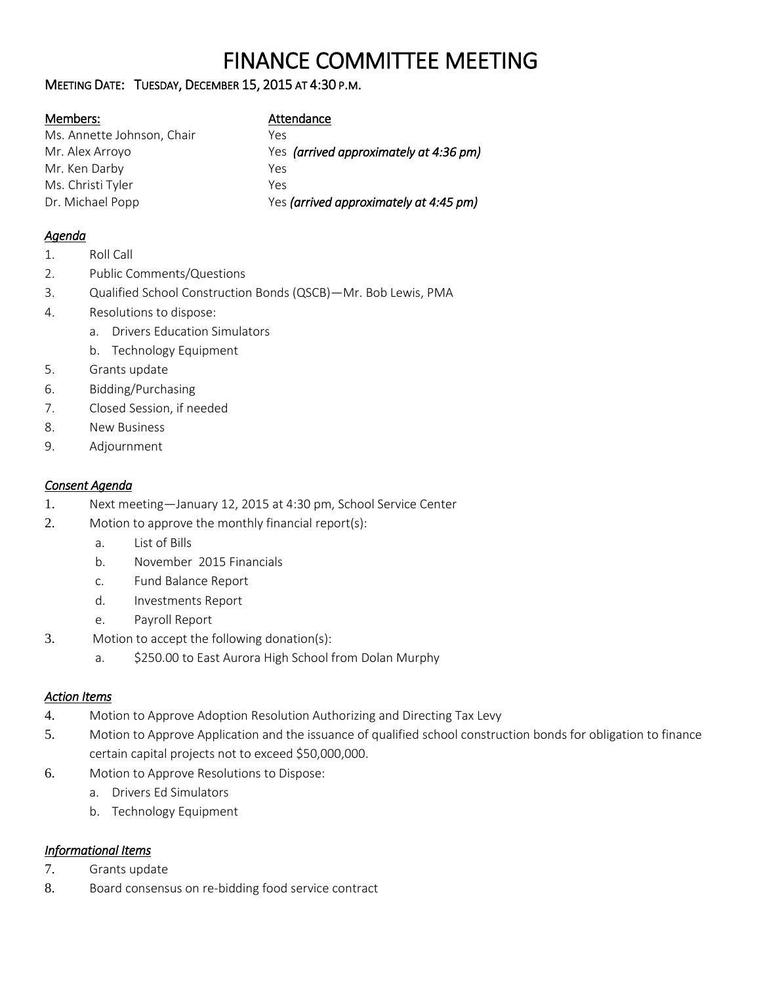# FINANCE COMMITTEE MEETING

## MEETING DATE: TUESDAY, DECEMBER 15, 2015 AT 4:30 P.M.

#### Members:

| Ms. Annette Johnson, Chair | Yρς                                    |
|----------------------------|----------------------------------------|
| Mr. Alex Arroyo            | Yes (arrived approximately at 4:36 pm) |
| Mr. Ken Darby              | Yes                                    |
| Ms. Christi Tyler          | Yρς                                    |
| Dr. Michael Popp           | Yes (arrived approximately at 4:45 pm) |

## *Agenda*

- 1. Roll Call
- 2. Public Comments/Questions
- 3. Qualified School Construction Bonds (QSCB)—Mr. Bob Lewis, PMA
- 4. Resolutions to dispose:
	- a. Drivers Education Simulators
	- b. Technology Equipment
- 5. Grants update
- 6. Bidding/Purchasing
- 7. Closed Session, if needed
- 8. New Business
- 9. Adjournment

## *Consent Agenda*

- 1. Next meeting—January 12, 2015 at 4:30 pm, School Service Center
- 2. Motion to approve the monthly financial report(s):
	- a. List of Bills
	- b. November 2015 Financials
	- c. Fund Balance Report
	- d. Investments Report
	- e. Payroll Report
- 3. Motion to accept the following donation(s):
	- a. \$250.00 to East Aurora High School from Dolan Murphy

# *Action Items*

- 4. Motion to Approve Adoption Resolution Authorizing and Directing Tax Levy
- 5. Motion to Approve Application and the issuance of qualified school construction bonds for obligation to finance certain capital projects not to exceed \$50,000,000.
- 6. Motion to Approve Resolutions to Dispose:
	- a. Drivers Ed Simulators
	- b. Technology Equipment

# *Informational Items*

- 7. Grants update
- 8. Board consensus on re-bidding food service contract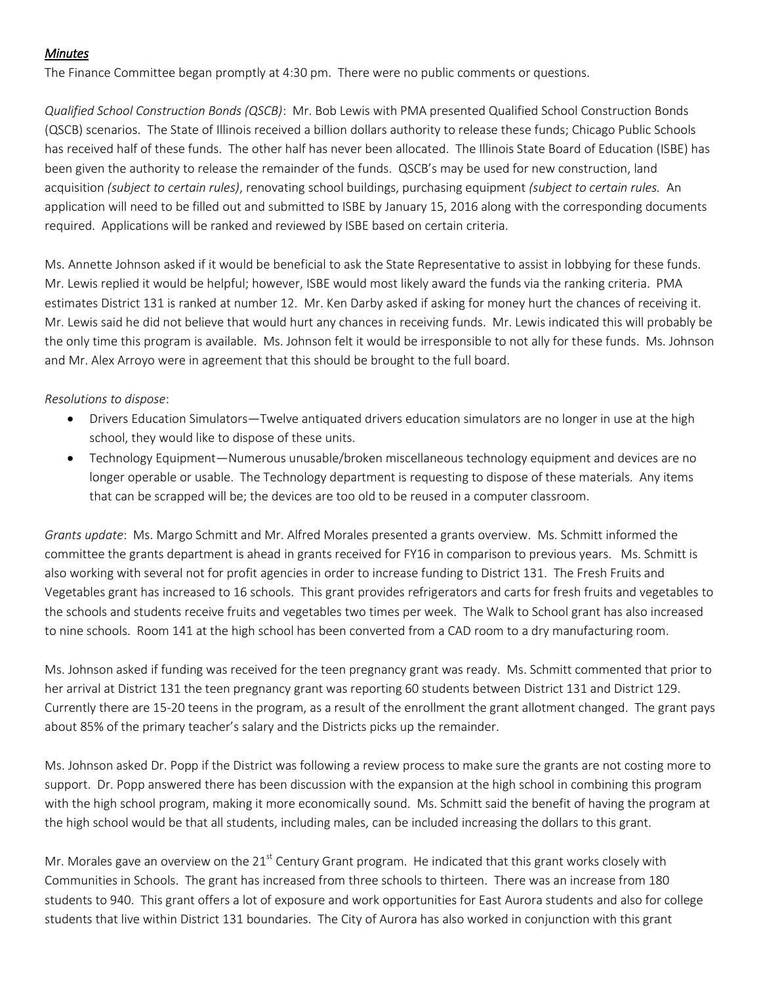### *Minutes*

The Finance Committee began promptly at 4:30 pm. There were no public comments or questions.

*Qualified School Construction Bonds (QSCB)*: Mr. Bob Lewis with PMA presented Qualified School Construction Bonds (QSCB) scenarios. The State of Illinois received a billion dollars authority to release these funds; Chicago Public Schools has received half of these funds. The other half has never been allocated. The Illinois State Board of Education (ISBE) has been given the authority to release the remainder of the funds. QSCB's may be used for new construction, land acquisition *(subject to certain rules)*, renovating school buildings, purchasing equipment *(subject to certain rules.* An application will need to be filled out and submitted to ISBE by January 15, 2016 along with the corresponding documents required. Applications will be ranked and reviewed by ISBE based on certain criteria.

Ms. Annette Johnson asked if it would be beneficial to ask the State Representative to assist in lobbying for these funds. Mr. Lewis replied it would be helpful; however, ISBE would most likely award the funds via the ranking criteria. PMA estimates District 131 is ranked at number 12. Mr. Ken Darby asked if asking for money hurt the chances of receiving it. Mr. Lewis said he did not believe that would hurt any chances in receiving funds. Mr. Lewis indicated this will probably be the only time this program is available. Ms. Johnson felt it would be irresponsible to not ally for these funds. Ms. Johnson and Mr. Alex Arroyo were in agreement that this should be brought to the full board.

#### *Resolutions to dispose*:

- Drivers Education Simulators—Twelve antiquated drivers education simulators are no longer in use at the high school, they would like to dispose of these units.
- Technology Equipment—Numerous unusable/broken miscellaneous technology equipment and devices are no longer operable or usable. The Technology department is requesting to dispose of these materials. Any items that can be scrapped will be; the devices are too old to be reused in a computer classroom.

*Grants update*: Ms. Margo Schmitt and Mr. Alfred Morales presented a grants overview. Ms. Schmitt informed the committee the grants department is ahead in grants received for FY16 in comparison to previous years. Ms. Schmitt is also working with several not for profit agencies in order to increase funding to District 131. The Fresh Fruits and Vegetables grant has increased to 16 schools. This grant provides refrigerators and carts for fresh fruits and vegetables to the schools and students receive fruits and vegetables two times per week. The Walk to School grant has also increased to nine schools. Room 141 at the high school has been converted from a CAD room to a dry manufacturing room.

Ms. Johnson asked if funding was received for the teen pregnancy grant was ready. Ms. Schmitt commented that prior to her arrival at District 131 the teen pregnancy grant was reporting 60 students between District 131 and District 129. Currently there are 15-20 teens in the program, as a result of the enrollment the grant allotment changed. The grant pays about 85% of the primary teacher's salary and the Districts picks up the remainder.

Ms. Johnson asked Dr. Popp if the District was following a review process to make sure the grants are not costing more to support. Dr. Popp answered there has been discussion with the expansion at the high school in combining this program with the high school program, making it more economically sound. Ms. Schmitt said the benefit of having the program at the high school would be that all students, including males, can be included increasing the dollars to this grant.

Mr. Morales gave an overview on the  $21<sup>st</sup>$  Century Grant program. He indicated that this grant works closely with Communities in Schools. The grant has increased from three schools to thirteen. There was an increase from 180 students to 940. This grant offers a lot of exposure and work opportunities for East Aurora students and also for college students that live within District 131 boundaries. The City of Aurora has also worked in conjunction with this grant